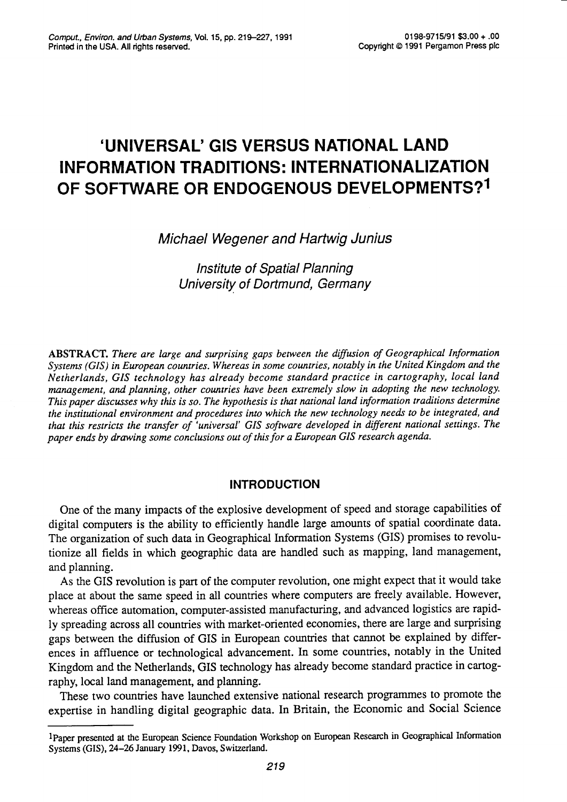# 'UNIVERSAL' GIS VERSUS NATIONAL LAND INFORMATION TRADITIONS: INTERNATIONALIZATION OF SOFTWARE OR ENDOGENOUS DEVELOPMENTS?<sup>1</sup>

# Michael Wegener and Hartwig Junius

lnstitute of Spatial Planning University of Dortmund, Germany

ABSTRACT. There are large and surprising gaps between the diffusion of Geographical Information Systems (GIS) in European countries.Whereas in some countries, notably in the United Kingdom and the Netherlands, GIS technology has already become standard practice in cartography, local land management, and planning, other countries have been extremely slow in adopting the new technology. This paper discusses why this is so. The hypothesis is that national land information traditions determine the institutional environment and procedwes into which the new technology needs to be integrated, and that this restricts the transfer of 'universal' GIS software developed in different national settings. The paper ends by drawing some conclusions out of this for a European GIS research agenda.

## INTRODUCTION

One of the many impacts of the explosive development of speed and storage capabilities of digital computers is the ability to efficiently handle large amounts of spatial coordinate data. The organizarion of such data in Geographical Information Systems (GIS) promises to revolutionize all fields in which geographic data are handled such as mapping, land management, and planning.

As the GIS revolution is part of the computer revolution, one might expect that it would take place at about the same speed in all countries where computers are freely available. However, whereas office automation, compurer-assisted manufacturing, and advanced logistics are rapidly spreading across all countries with market-oriented economies, there are large and surprising gaps between the diffusion of GIS in European countries that cannot be explained by differences in affluence or technological advancement. In some countries, notably in the United Kingdom and the Netherlands, GIS technology has already become standard practice in cartography, local land management, and planning.

These two countries have launched extensive national research programmes to promote the expertise in handling digital geographic data. In Britain, the Economic and Social Science

<sup>1</sup>Paper presented at the European Science Foundation Workshop on European Research in Geographical Information Systems (GIS), 24-26 January 1991, Davos, Switzerland.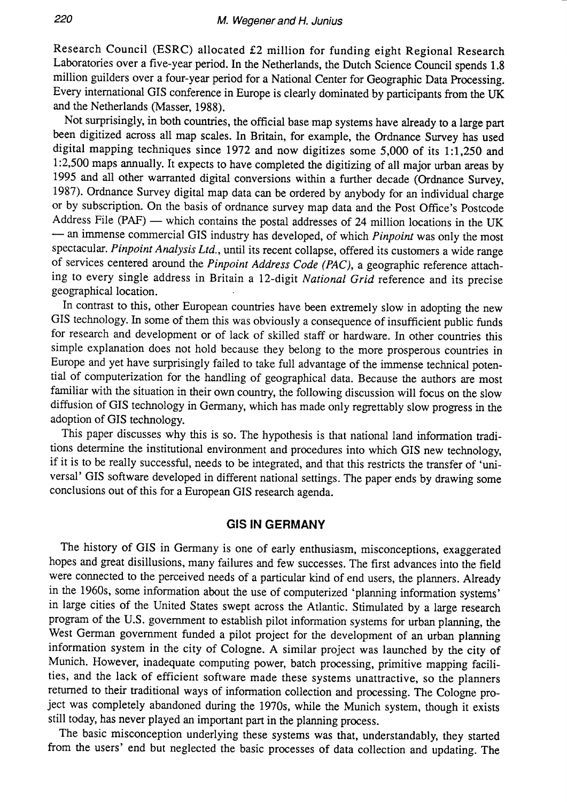Research Council (ESRC) allocated £2 million for funding eight Regional Research Laboratories over a five-year period. In the Netherlands, the Dutch Science Council spends 1.8 million guilders over a four-year period for a National Center for Geographic Data Processing. Every international GIS conference in Europe is clearly dominated by participants from the UK and the Netherlands (Masser, 198S).

Not surprisingly, in both countries, the official base map systems have already to a large part been digitized across all map scales. In Britain, for example, the Ordnance Survey has used digital mapping techniques since 1972 and now digitizes some 5,000 of its 1:1,250 and 1:2,500 maps annually. It expects to have completed the digitizing of all major urban areas by 1995 and all other warranted digital conversions within a further decade (Ordnance Survey, 1987). Ordnance Survey digital map data can be ordered by anybody for an individual charge or by subscription. On the basis of ordnance survey map data and the Post Office's Postcode Address File (PAF) — which contains the postal addresses of 24 million locations in the UK —<br>m - an immense commercial GIS industry has developed, of which *Pinpoint* was only the most<br>spectacular *Pinnoint Anglysis I td.* until its meant calleges of fand its quate was a like spectacular. Pinpoint Analysis Ltd., until its recent collapse, offered its customers a wide range of services centered around the Pinpoint Address Code (PAC), a geographic reference attaching to every single address in Britain a l2-digit National Grid reference and its precise geographical location

In contrast to this, other European countries have been extremely slow in adopting the new GIS technology. In some of them this was obviously a consequence of insufficient public funds for research and development or of lack of skilled staff or hardware. In other countries this simple explanation does not hold because they belong to the more prosperous countries in Europe and yet have surprisingly tailed to take full advantage of the immense technical potential of computerization for the handling of geographical data. Because the authors are most familiar with the situation in their own country, the following discussion will focus on the slow diffusion of GIS technology in Germany, which has made only regrettably slow progress in the adoption of GIS technology.

This paper discusses why this is so. The hypothesis is that national land information traditions determine the institutional environment and procedures into which GIS new technology, if it is to be really successful, needs to be integrated, and that this restricts the transfer of 'universal' GIS software developed in different national settings. The paper ends by drawing some conclusions out of this for a European GIS research agenda.

#### **GIS IN GERMANY**

The history of GIS in Germany is one of early enthusiasm, misconceptions, exaggerated hopes and great disillusions, many failures and few successes. The first advances into the field were connected to the perceived needs of a particular kind of end users, the planners. Already in the 1960s, some information about the use of computerized 'planning information systems' in large cities of the United States swept across the Atlantic. Stimulated by a large research progam of the U.S. government to establish pilot information systems for urban planning, the West German govemment funded a pilot project for the development of an urban planning information system in the city of Cologne. A similar project was launched by the city of Munich. However, inadequate computing power, batch processing, primitive mapping facilities, and the lack of efficient software made these systems unattractive, so the planners returned to their traditional ways of information collection and processing. The Cologne project was completely abandoned during the 1970s, while the Munich system, though it exists still today, has never played an important part in the planning process.

The basic misconception underlying these systems was that, understandably, they started from the users' end but neglected the basic processes of data collection and updating. The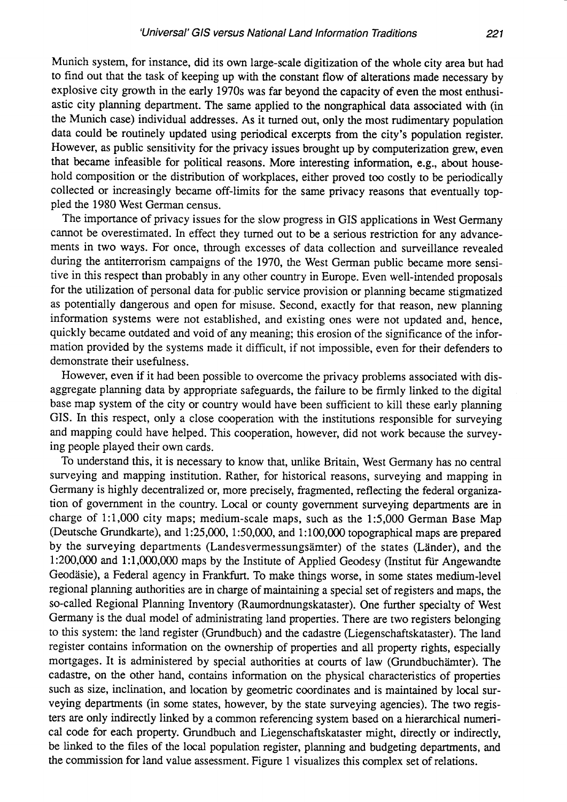Munich system, for instance, did its own large-scale digitization of the whole city area but had to find out that the task of keeping up with the constant flow of alterations made necessary by explosive city growth in the early 1970s was far beyond the capacity of even the most enthusiastic city planning department. The same applied to the nongraphical data associated with (in the Munich case) individual addresses. As it turned out, only the most rudimentary population data could be routinely updated using periodical excerpts from the city's population register. However, as public sensitivity for the privacy issues brought up by computerization grew, even that became infeasible for political reasons. More interesting information, e.g., about household composition or the distribution of workplaces, either proved too costly to be periodically collected or increasingly became off-limits for the same privacy reasons that eventually toppled the 1980 West German census.

The importance of privacy issues for the slow progress in GIS applications in West Germany cannot be overestimated. In effect they turned out to be a serious restriction for any advancements in two ways. For once, through excesses of data collection and surveillance revealed during the antiterrorism campaigns of the 7970, the West German public became more sensitive in this respect than probably in any other counry in Europe. Even well-intended proposals for the utilization of personal data for.public service provision or planning became stigmatized as potentially dangerous and open for misuse. Second, exactly for that reason, new planning information systems were not established, and existing ones were not updated and, hence, quickly became outdated and void of any meaning; this erosion of the significance of the information provided by the systems made it difficult, if not impossible, even for their defenders to demonstrate their usefulness.

However, even if it had been possible to overcome the privacy problems associated with disaggegate planning data by appropriate safeguards, the failure to be firmly linked to the digital base map system of the city or country would have been sufficient to kill these early planning GIS. In this respect, only a close cooperation with the institutions responsible for surveying and mapping could have helped. This cooperation, however, did not work because the surveying people played their own cards.

To understand this, it is necessary to know that, unlike Britain, West Germany has no central surveying and mapping institution. Rather, for historical reasons, surveying and mapping in Germany is highly decentralized or, more precisely, fragmented, reflecting the federal organization of government in the country. Local or county government surveying departments are in charge of 1:1,000 city maps; medium-scale maps, such as the 1:5,000 German Base Map (Deutsche Grundkarte), and 1:25,000, 1:50,000, and 1:100,000 topographical maps are prepared by the surveying departments (Landesvermessungsämter) of the srates (Länder), and the 1:200,000 and 1:1,000,000 maps by the Institute of Applied Geodesy (Institut für Angewandte Geodäsie), a Federal agency in Frankfurt. To make things worse, in some states medium-level regional planning authorities are in charge of maintaining a special set of registers and maps, the so-called Regional Planning Inventory (Raumordnungskataster). One further specialty of West Germany is the dual model of administrating land properties. There are two registers belonging to this system: the land register (Grundbuch) and the cadastre (Liegenschaftskataster). The land register contains information on the ownership of properties and all property rights, especially mortgages. It is administered by special authorities at courts of law (Grundbuchämter). The cadastre, on the other hand, contains information on the physical characteristics of properties such as size, inclination, and location by geometric coordinates and is maintained by local surveying deparrnents (in some states, however, by the state surveying agencies). The two registers are only indirectly linked by a common referencing system based on a hierarchical numerical code for each property. Grundbuch and Liegenschaftskataster might, directly or indirectly, be linked to the files of the local population register, planning and budgeting deparrnents, and the commission for land value assessment. Figure 1 visualizes this complex set of relations.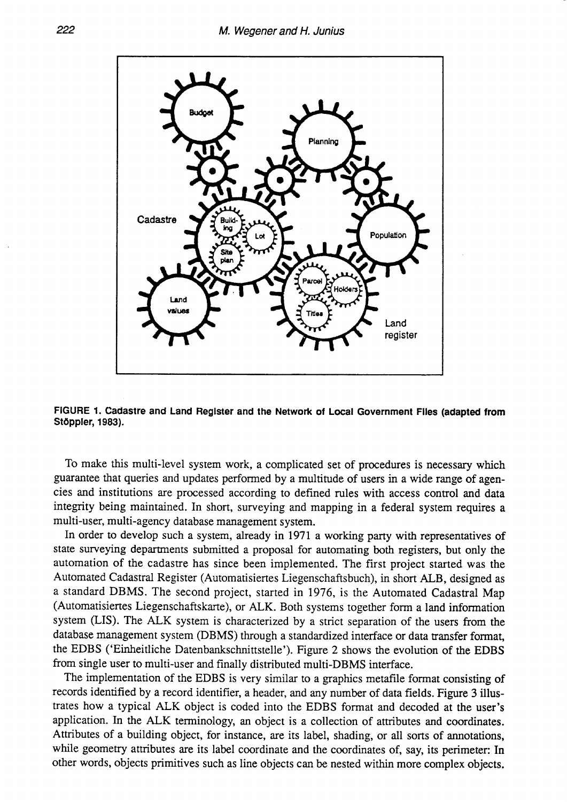

FIGURE 1. Cadastre and Land Register and the Network of Local Government Files (adapted from Stöppler,1983).

To make this multi-level system work, a complicated set of procedures is necessary which guarantee that queries and updates performed by a multitude of users in a wide range of agencies and institutions are processed according to defined rules with access control and data integrity being maintained. In short, surveying and mapping in a federal system requires a multi-user, multi-agency database management system.

In order to develop such a system, already in 1971 a working party with representatives of state surveying departrnents submitted a proposal for automating both registers, but only the automation of the cadastre has since been implemented. The first project started was the Automated Cadastral Register (Automatisiertes Liegenschaftsbuch), in short ALB, designed as a standard DBMS. The second project, started in 7976, is the Automated Cadastral Map (Automatisiertes Liegenschaftskarte), or ALK. Both systems together form a land information system (LIS). The ALK system is characterized by a strict separation of the users from the database management system (DBMS) through a standardized interface or data transfer format, the EDBS ('Einheitliche Datenbankschnittstelle'). Figure 2 shows the evolution of the EDBS from single user to multi-user and finally distributed multi-DBMS interface.

The implementation of the EDBS is very similar to a graphics metafile format consisting of records identified by a record identifier, a header, and any number of data fields. Figure 3 illustrates how a typical ALK object is coded into the EDBS format and decoded at the user's application. In the ALK terminology, an object is a collection of attributes and coordinates. Attributes of a building object, for instance, are its label, shading, or all sorts of annotations, while geometry attributes are its label coordinate and the coordinates of, say, its perimeter: In other words, objects primitives such as line objects can be nested within more complex objects.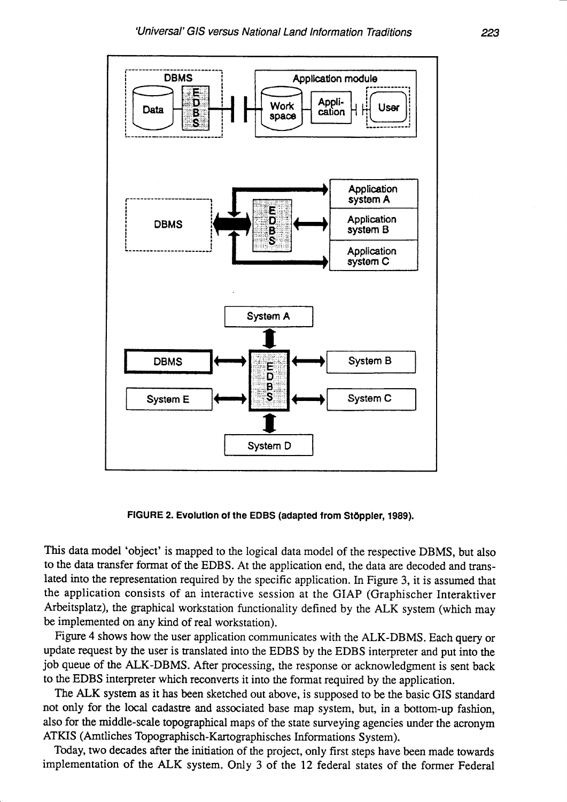

FIGURE 2. Evolution of the EDBS (adapted from Stöppler, 1989).

This data model 'object' is mapped to the logical data model of the respective DBMS, but also to the data transfer format of the EDBS. At the application end, the data are decoded and translated into the representation required by the specific application. In Figure 3, it is assumed that the application consists of an interactive session at the GIAP (Graphischer Interaktiver Arbeitsplatz), the graphical workstation functionality defined by the ALK system (which may be implemented on any kind of real workstation).

Figure 4 shows how the user application communicates with the ALK-DBMS. Each query or update request by the user is translated into the EDBS by the EDBS interpreter and put into the job queue of the ALK-DBMS. After processing, the response or acknowledgment is sent back to the EDBS interpreter which reconverts it into the format required by the application.

The ALK system as it has been sketched out above, is supposed to be the basic GIS standard not only for the local cadastre and associated base map system, but, in a bottom-up fashion, also for the middle-scale topographical maps of the state surveying agencies under the acronym AIKIS (Amtliches Topographisch-Kartographi sches lnformations System).

Today, two decades after the initiation of the project, only first steps have been made towards implementation of the ALK system. Only 3 of the 12 federal srates of the former Federal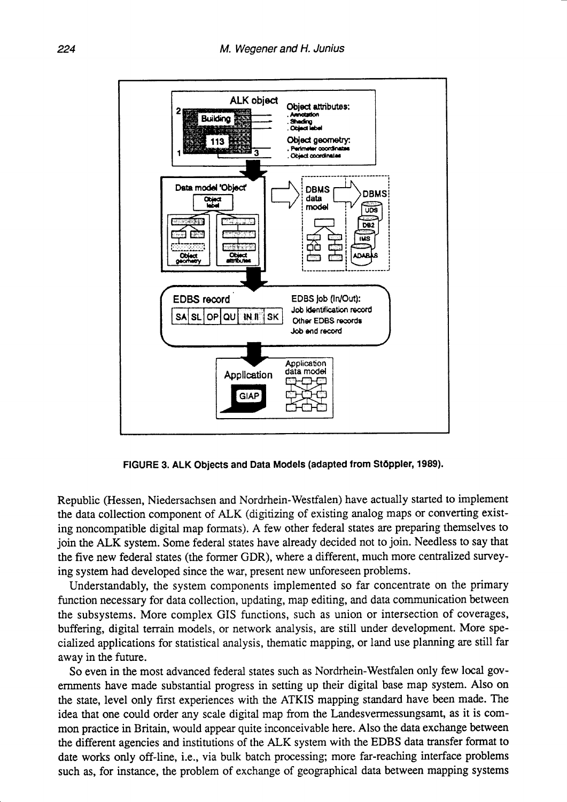

FIGURE 3. ALK Objects and Data Models (adapted from Stöppler, 1989).

Republic (Hessen, Niedersachsen and Nordrhein-Westfalen) have actually started to implement the data collection component of ALK (digitizing of existing analog maps or converting existing noncompatible digital map formats). A few other federal states are preparing themselves to join the ALK system. Some federal states have already decided not to join. Needless to say that the five new federal states (the former GDR), where a different, much more centralized surveying system had developed since the war, present new unforeseen problems.

Understandably, the system components implemented so far concentrate on the primary function necessary for data collection, updating, map editing, and data communication between the subsystems. More complex GIS functions, such as union or intersection of coverages, buffering, digital terrain models, or network analysis, are still under development. More specialized applications for statistical analysis, thematic mapping, or land use planning are still far away in the future.

So even in the most advanced federal states such as Nordrhein-Westfalen only few local governments have made substantial progress in setting up their digital base map system. Also on the state, level only first experiences with the ATKIS mapping standard have been made. The idea that one could order any scale digital map from the Landesvermessungsamt, as it is common practice in Britain, would appear quite inconceivable here. Also the data exchange between the different agencies and institutions of the ALK system with the EDBS data transfer format to date works only off-line, i.e., via bulk batch processing; more far-reaching interface problems such as, for instance, the problem of exchange of geographical data between mapping systems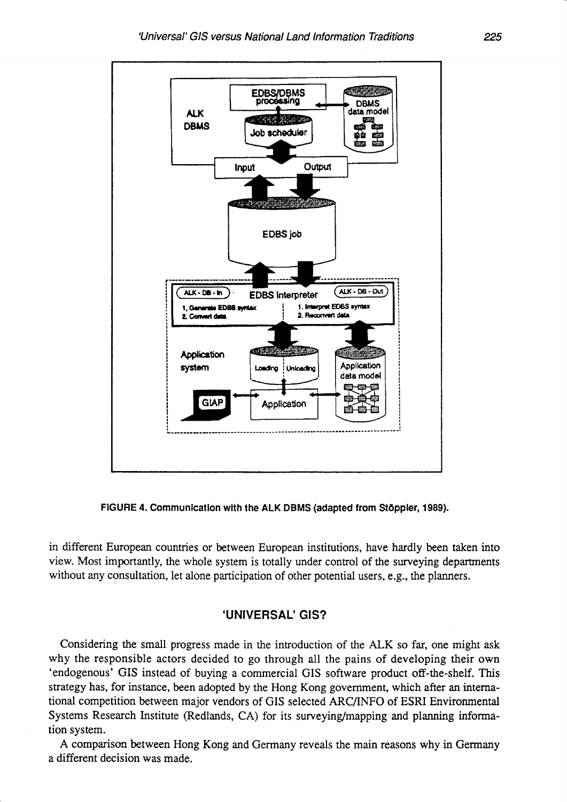

FIGURE 4. Communication with the ALK DBMS (adapted from Stöppler, 1989).

in different European countries or between European institutions, have hardly been taken into view. Most importantly, the whole system is totally under control of the surveying deparunents without any consultation, let alone participation of other potential users, e.g., the planners.

### .UNIVERSAL'GIS?

Considering the small progress made in the introduction of the ALK so far, one might ask why the responsible actors decided to go through all the pains of developing their own 'endogenous' GIS instead of buying a commercial GIS software product off-the-shelf. This strategy has, for instance, been adopted by the Hong Kong government, which after an international competition between major vendors of GIS selected ARC/INFO of ESRI Environmental Systems Research Institute (Redlands, CA) for its surveying/mapping and planning information system.

A comparison between Hong Kong and Germany reveals the main reasons why in Germany a different decision was made.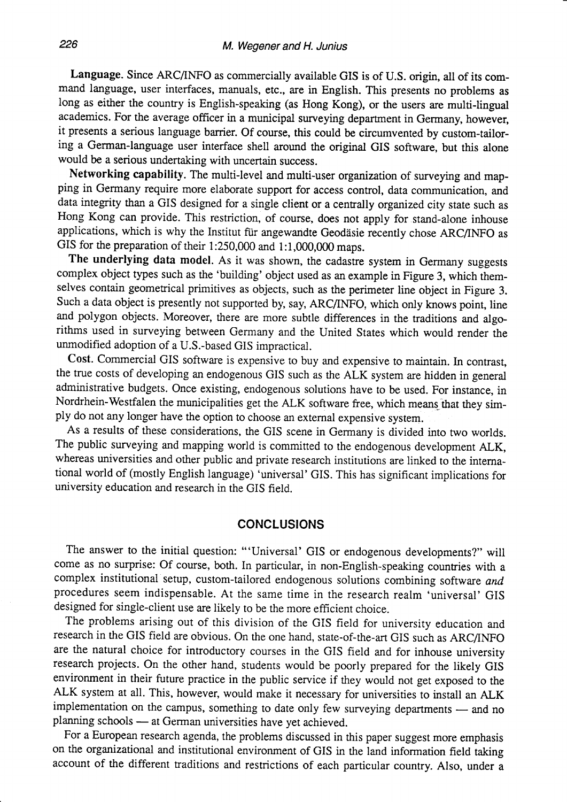Language. Since ARC/INFO as commercially available GIS is of U.S. origin, all of its command language, user interfaces, manuals, etc., are in English. This presents no problems as long as either the country is English-speaking (as Hong Kong), or the users are multi-lingual academics. For the average officer in a municipal surveying deparrnent in Germany, however, it presents a serious language barrier. Of course, this could be circumvented by custom-tailoring a German-language user interface shell around the original GIS software, but this alone would be a serious undertaking with uncertain success.

Networking capability. The multi-level and multi-user organization of surveying and mapping in Germany require more elaborate support for access control, data communication, and data integrity than a GIS designed for a single client or a centrally organized city state such as Hong Kong can provide. This restriction, of course, does not apply for stand-alone inhouse applications, which is why the Institut flir angewandte Geodäsie recently chose ARC/INFO as GIS for the preparation of their 1:250,000 and 1:1,000,000 maps.

The underlying data model. As it was shown, the cadastre system in Germany suggests complex object types such as the 'building' object used as an example in Figure 3, which themselves contain geometrical primitives as objects, such as the perimeter line object in Figure 3. Such a data object is presently not supported by, say, ARCINFO, which only knows point, line and polygon objects. Moreover, there are more subtle differences in the traditions and algorithms used in surveying between Germany and the United States which would render the unmodified adoption of a U.S.-based GiS impractical.

Cost. Commercial GIS software is expensive to buy and expensive to maintain. In contrast, the true costs of developing an endogenous GIS such as the ALK system are hidden in general administrative budgets. Once existing, endogenous solutions have to be used. For instance, in Nordrhein-Westfalen the municipalities get the ALK software free, which means that they simply do not any longer have the option to choose an extemal expensive system.

As a results of these considerations, the GIS scene in Germany is divided into two worlds. The public surveying and mapping world is committed to the endogenous development ALK, whereas universities and other public and private research institutions are linked to the international world of (mostly English language) 'universal' GIS. This has significant implications for university education and research in the GIS field.

#### CONCLUSIONS

The answer to the initial question: "'IJniversal' GIS or endogenous developments?" will come as no surprise: Of course, both. In particular, in non-English-speaking countries with a complex institutional setup, custom-tailored endogenous solutions combining software and procedures seem indispensable. At the same time in the research realm 'universal' GIS designed for single-client use are likely to be the more efficient choice.

The problems arising out of this division of the GIS field for university education and research in the GIS field are obvious. On the one hand, state-of-the-art GIS such as ARC/INFO are the natural choice for introductory courses in the GIS field and for inhouse university research projects. On the other hand, students would be poorly prepared for the likely GIS environment in their future practice in the public service if they would not get exposed to the ALK system at all. This, however, would make it necessary for universities to install an ALK implementation on the campus, something to date only few surveying departments — and no<br>planning schools — at German universities have vet achieved planning schools at German universities have yet achieved.

alining schools — at German universities have yet achieved.<br>For a European research agenda, the problems discussed in this paper suggest more emphasis on the organizational and institutional environment of GIS in the land information field taking account of the different traditions and restrictions of each particular country. Also, under a